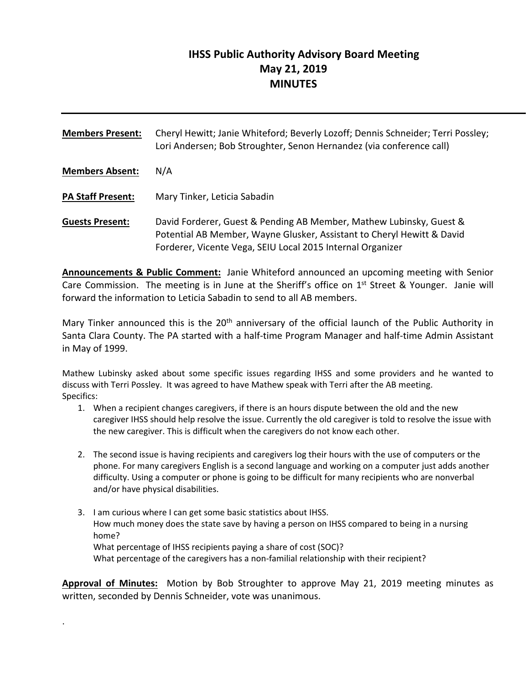# **IHSS Public Authority Advisory Board Meeting May 21, 2019 MINUTES**

**Members Present:** Cheryl Hewitt; Janie Whiteford; Beverly Lozoff; Dennis Schneider; Terri Possley; Lori Andersen; Bob Stroughter, Senon Hernandez (via conference call) **Members Absent:** N/A **PA Staff Present:** Mary Tinker, Leticia Sabadin **Guests Present:** David Forderer, Guest & Pending AB Member, Mathew Lubinsky, Guest & Potential AB Member, Wayne Glusker, Assistant to Cheryl Hewitt & David

**Announcements & Public Comment:** Janie Whiteford announced an upcoming meeting with Senior Care Commission. The meeting is in June at the Sheriff's office on 1<sup>st</sup> Street & Younger. Janie will forward the information to Leticia Sabadin to send to all AB members.

Forderer, Vicente Vega, SEIU Local 2015 Internal Organizer

Mary Tinker announced this is the 20<sup>th</sup> anniversary of the official launch of the Public Authority in Santa Clara County. The PA started with a half‐time Program Manager and half‐time Admin Assistant in May of 1999.

Mathew Lubinsky asked about some specific issues regarding IHSS and some providers and he wanted to discuss with Terri Possley. It was agreed to have Mathew speak with Terri after the AB meeting. Specifics:

- 1. When a recipient changes caregivers, if there is an hours dispute between the old and the new caregiver IHSS should help resolve the issue. Currently the old caregiver is told to resolve the issue with the new caregiver. This is difficult when the caregivers do not know each other.
- 2. The second issue is having recipients and caregivers log their hours with the use of computers or the phone. For many caregivers English is a second language and working on a computer just adds another difficulty. Using a computer or phone is going to be difficult for many recipients who are nonverbal and/or have physical disabilities.
- 3. I am curious where I can get some basic statistics about IHSS. How much money does the state save by having a person on IHSS compared to being in a nursing home? What percentage of IHSS recipients paying a share of cost (SOC)? What percentage of the caregivers has a non-familial relationship with their recipient?

**Approval of Minutes:** Motion by Bob Stroughter to approve May 21, 2019 meeting minutes as written, seconded by Dennis Schneider, vote was unanimous.

.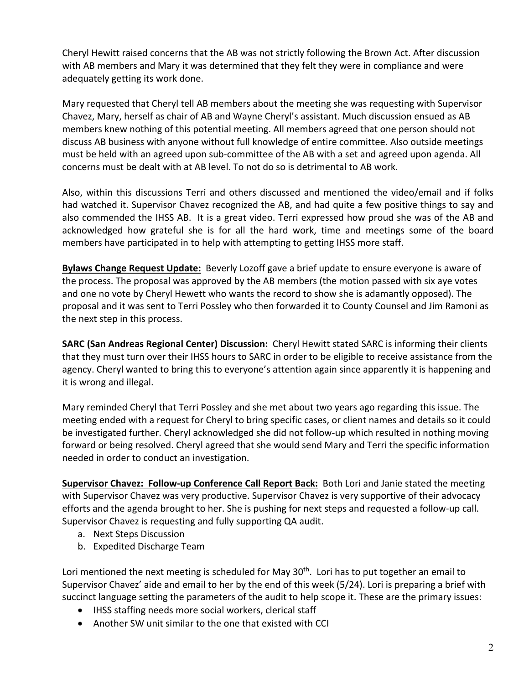Cheryl Hewitt raised concerns that the AB was not strictly following the Brown Act. After discussion with AB members and Mary it was determined that they felt they were in compliance and were adequately getting its work done.

Mary requested that Cheryl tell AB members about the meeting she was requesting with Supervisor Chavez, Mary, herself as chair of AB and Wayne Cheryl's assistant. Much discussion ensued as AB members knew nothing of this potential meeting. All members agreed that one person should not discuss AB business with anyone without full knowledge of entire committee. Also outside meetings must be held with an agreed upon sub‐committee of the AB with a set and agreed upon agenda. All concerns must be dealt with at AB level. To not do so is detrimental to AB work.

Also, within this discussions Terri and others discussed and mentioned the video/email and if folks had watched it. Supervisor Chavez recognized the AB, and had quite a few positive things to say and also commended the IHSS AB. It is a great video. Terri expressed how proud she was of the AB and acknowledged how grateful she is for all the hard work, time and meetings some of the board members have participated in to help with attempting to getting IHSS more staff.

**Bylaws Change Request Update:** Beverly Lozoff gave a brief update to ensure everyone is aware of the process. The proposal was approved by the AB members (the motion passed with six aye votes and one no vote by Cheryl Hewett who wants the record to show she is adamantly opposed). The proposal and it was sent to Terri Possley who then forwarded it to County Counsel and Jim Ramoni as the next step in this process.

**SARC (San Andreas Regional Center) Discussion:** Cheryl Hewitt stated SARC is informing their clients that they must turn over their IHSS hours to SARC in order to be eligible to receive assistance from the agency. Cheryl wanted to bring this to everyone's attention again since apparently it is happening and it is wrong and illegal.

Mary reminded Cheryl that Terri Possley and she met about two years ago regarding this issue. The meeting ended with a request for Cheryl to bring specific cases, or client names and details so it could be investigated further. Cheryl acknowledged she did not follow‐up which resulted in nothing moving forward or being resolved. Cheryl agreed that she would send Mary and Terri the specific information needed in order to conduct an investigation.

Supervisor Chavez: Follow-up Conference Call Report Back: Both Lori and Janie stated the meeting with Supervisor Chavez was very productive. Supervisor Chavez is very supportive of their advocacy efforts and the agenda brought to her. She is pushing for next steps and requested a follow‐up call. Supervisor Chavez is requesting and fully supporting QA audit.

- a. Next Steps Discussion
- b. Expedited Discharge Team

Lori mentioned the next meeting is scheduled for May  $30<sup>th</sup>$ . Lori has to put together an email to Supervisor Chavez' aide and email to her by the end of this week (5/24). Lori is preparing a brief with succinct language setting the parameters of the audit to help scope it. These are the primary issues:

- IHSS staffing needs more social workers, clerical staff
- Another SW unit similar to the one that existed with CCI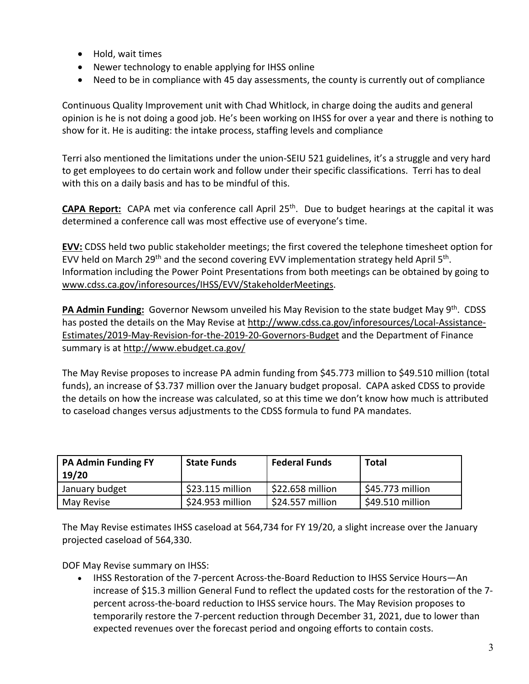- Hold, wait times
- Newer technology to enable applying for IHSS online
- Need to be in compliance with 45 day assessments, the county is currently out of compliance

Continuous Quality Improvement unit with Chad Whitlock, in charge doing the audits and general opinion is he is not doing a good job. He's been working on IHSS for over a year and there is nothing to show for it. He is auditing: the intake process, staffing levels and compliance

Terri also mentioned the limitations under the union‐SEIU 521 guidelines, it's a struggle and very hard to get employees to do certain work and follow under their specific classifications. Terri has to deal with this on a daily basis and has to be mindful of this.

**CAPA Report:** CAPA met via conference call April 25<sup>th</sup>. Due to budget hearings at the capital it was determined a conference call was most effective use of everyone's time.

**EVV:** CDSS held two public stakeholder meetings; the first covered the telephone timesheet option for EVV held on March 29<sup>th</sup> and the second covering EVV implementation strategy held April  $5<sup>th</sup>$ . Information including the Power Point Presentations from both meetings can be obtained by going to www.cdss.ca.gov/inforesources/IHSS/EVV/StakeholderMeetings.

**PA Admin Funding:** Governor Newsom unveiled his May Revision to the state budget May 9th. CDSS has posted the details on the May Revise at http://www.cdss.ca.gov/inforesources/Local-Assistance-Estimates/2019‐May‐Revision‐for‐the‐2019‐20‐Governors‐Budget and the Department of Finance summary is at http://www.ebudget.ca.gov/

The May Revise proposes to increase PA admin funding from \$45.773 million to \$49.510 million (total funds), an increase of \$3.737 million over the January budget proposal. CAPA asked CDSS to provide the details on how the increase was calculated, so at this time we don't know how much is attributed to caseload changes versus adjustments to the CDSS formula to fund PA mandates.

| <b>PA Admin Funding FY</b><br>19/20 | <b>State Funds</b> | <b>Federal Funds</b> | <b>Total</b>     |
|-------------------------------------|--------------------|----------------------|------------------|
| January budget                      | \$23.115 million   | \$22.658 million     | \$45.773 million |
| May Revise                          | \$24.953 million   | \$24.557 million     | \$49.510 million |

The May Revise estimates IHSS caseload at 564,734 for FY 19/20, a slight increase over the January projected caseload of 564,330.

DOF May Revise summary on IHSS:

• IHSS Restoration of the 7-percent Across-the-Board Reduction to IHSS Service Hours—An increase of \$15.3 million General Fund to reflect the updated costs for the restoration of the 7‐ percent across‐the‐board reduction to IHSS service hours. The May Revision proposes to temporarily restore the 7‐percent reduction through December 31, 2021, due to lower than expected revenues over the forecast period and ongoing efforts to contain costs.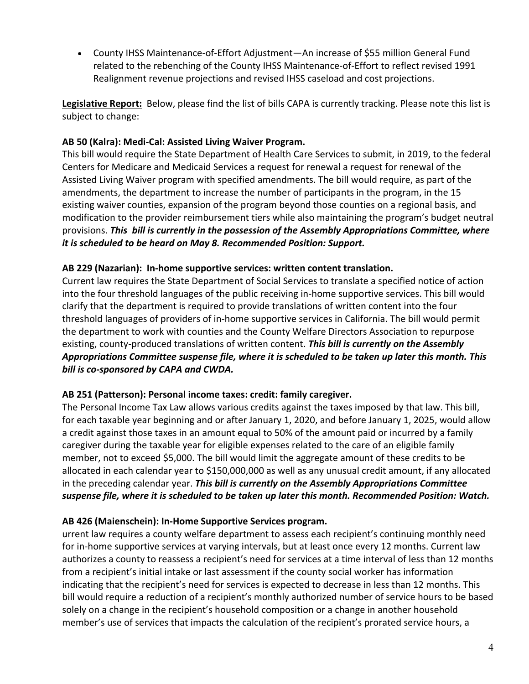● County IHSS Maintenance-of-Effort Adjustment—An increase of \$55 million General Fund related to the rebenching of the County IHSS Maintenance‐of‐Effort to reflect revised 1991 Realignment revenue projections and revised IHSS caseload and cost projections.

**Legislative Report:** Below, please find the list of bills CAPA is currently tracking. Please note this list is subject to change:

### **AB 50 (Kalra): Medi‐Cal: Assisted Living Waiver Program.**

This bill would require the State Department of Health Care Services to submit, in 2019, to the federal Centers for Medicare and Medicaid Services a request for renewal a request for renewal of the Assisted Living Waiver program with specified amendments. The bill would require, as part of the amendments, the department to increase the number of participants in the program, in the 15 existing waiver counties, expansion of the program beyond those counties on a regional basis, and modification to the provider reimbursement tiers while also maintaining the program's budget neutral provisions. *This bill is currently in the possession of the Assembly Appropriations Committee, where it is scheduled to be heard on May 8. Recommended Position: Support.* 

### **AB 229 (Nazarian): In‐home supportive services: written content translation.**

Current law requires the State Department of Social Services to translate a specified notice of action into the four threshold languages of the public receiving in‐home supportive services. This bill would clarify that the department is required to provide translations of written content into the four threshold languages of providers of in‐home supportive services in California. The bill would permit the department to work with counties and the County Welfare Directors Association to repurpose existing, county‐produced translations of written content. *This bill is currently on the Assembly Appropriations Committee suspense file, where it is scheduled to be taken up later this month. This bill is co‐sponsored by CAPA and CWDA.*

### **AB 251 (Patterson): Personal income taxes: credit: family caregiver.**

The Personal Income Tax Law allows various credits against the taxes imposed by that law. This bill, for each taxable year beginning and or after January 1, 2020, and before January 1, 2025, would allow a credit against those taxes in an amount equal to 50% of the amount paid or incurred by a family caregiver during the taxable year for eligible expenses related to the care of an eligible family member, not to exceed \$5,000. The bill would limit the aggregate amount of these credits to be allocated in each calendar year to \$150,000,000 as well as any unusual credit amount, if any allocated in the preceding calendar year. *This bill is currently on the Assembly Appropriations Committee suspense file, where it is scheduled to be taken up later this month. Recommended Position: Watch.* 

### **AB 426 (Maienschein): In‐Home Supportive Services program.**

urrent law requires a county welfare department to assess each recipient's continuing monthly need for in-home supportive services at varying intervals, but at least once every 12 months. Current law authorizes a county to reassess a recipient's need for services at a time interval of less than 12 months from a recipient's initial intake or last assessment if the county social worker has information indicating that the recipient's need for services is expected to decrease in less than 12 months. This bill would require a reduction of a recipient's monthly authorized number of service hours to be based solely on a change in the recipient's household composition or a change in another household member's use of services that impacts the calculation of the recipient's prorated service hours, a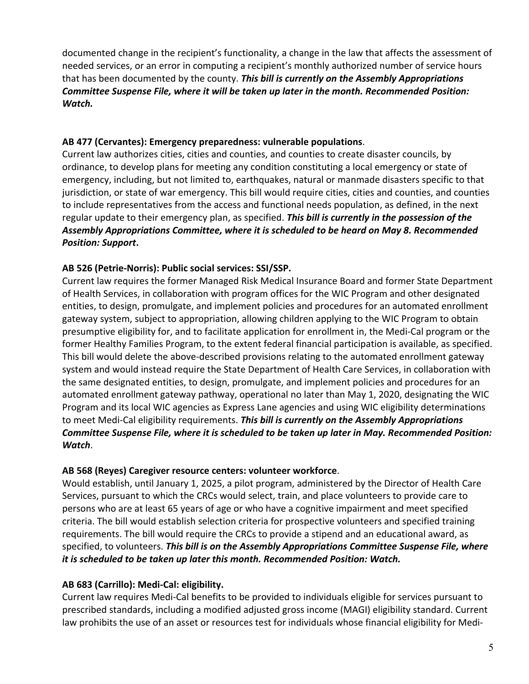documented change in the recipient's functionality, a change in the law that affects the assessment of needed services, or an error in computing a recipient's monthly authorized number of service hours that has been documented by the county. *This bill is currently on the Assembly Appropriations Committee Suspense File, where it will be taken up later in the month. Recommended Position: Watch.* 

#### **AB 477 (Cervantes): Emergency preparedness: vulnerable populations**.

Current law authorizes cities, cities and counties, and counties to create disaster councils, by ordinance, to develop plans for meeting any condition constituting a local emergency or state of emergency, including, but not limited to, earthquakes, natural or manmade disasters specific to that jurisdiction, or state of war emergency. This bill would require cities, cities and counties, and counties to include representatives from the access and functional needs population, as defined, in the next regular update to their emergency plan, as specified. *This bill is currently in the possession of the Assembly Appropriations Committee, where it is scheduled to be heard on May 8. Recommended Position: Support***.**

# **AB 526 (Petrie‐Norris): Public social services: SSI/SSP.**

Current law requires the former Managed Risk Medical Insurance Board and former State Department of Health Services, in collaboration with program offices for the WIC Program and other designated entities, to design, promulgate, and implement policies and procedures for an automated enrollment gateway system, subject to appropriation, allowing children applying to the WIC Program to obtain presumptive eligibility for, and to facilitate application for enrollment in, the Medi‐Cal program or the former Healthy Families Program, to the extent federal financial participation is available, as specified. This bill would delete the above‐described provisions relating to the automated enrollment gateway system and would instead require the State Department of Health Care Services, in collaboration with the same designated entities, to design, promulgate, and implement policies and procedures for an automated enrollment gateway pathway, operational no later than May 1, 2020, designating the WIC Program and its local WIC agencies as Express Lane agencies and using WIC eligibility determinations to meet Medi‐Cal eligibility requirements. *This bill is currently on the Assembly Appropriations Committee Suspense File, where it is scheduled to be taken up later in May. Recommended Position: Watch*.

### **AB 568 (Reyes) Caregiver resource centers: volunteer workforce**.

Would establish, until January 1, 2025, a pilot program, administered by the Director of Health Care Services, pursuant to which the CRCs would select, train, and place volunteers to provide care to persons who are at least 65 years of age or who have a cognitive impairment and meet specified criteria. The bill would establish selection criteria for prospective volunteers and specified training requirements. The bill would require the CRCs to provide a stipend and an educational award, as specified, to volunteers. *This bill is on the Assembly Appropriations Committee Suspense File, where it is scheduled to be taken up later this month. Recommended Position: Watch.*

### **AB 683 (Carrillo): Medi‐Cal: eligibility.**

Current law requires Medi‐Cal benefits to be provided to individuals eligible for services pursuant to prescribed standards, including a modified adjusted gross income (MAGI) eligibility standard. Current law prohibits the use of an asset or resources test for individuals whose financial eligibility for Medi‐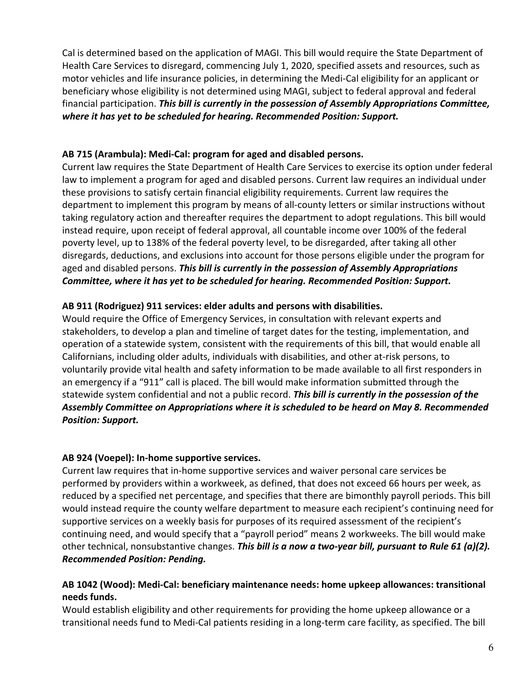Cal is determined based on the application of MAGI. This bill would require the State Department of Health Care Services to disregard, commencing July 1, 2020, specified assets and resources, such as motor vehicles and life insurance policies, in determining the Medi‐Cal eligibility for an applicant or beneficiary whose eligibility is not determined using MAGI, subject to federal approval and federal financial participation. *This bill is currently in the possession of Assembly Appropriations Committee, where it has yet to be scheduled for hearing. Recommended Position: Support.*

### **AB 715 (Arambula): Medi‐Cal: program for aged and disabled persons.**

Current law requires the State Department of Health Care Services to exercise its option under federal law to implement a program for aged and disabled persons. Current law requires an individual under these provisions to satisfy certain financial eligibility requirements. Current law requires the department to implement this program by means of all‐county letters or similar instructions without taking regulatory action and thereafter requires the department to adopt regulations. This bill would instead require, upon receipt of federal approval, all countable income over 100% of the federal poverty level, up to 138% of the federal poverty level, to be disregarded, after taking all other disregards, deductions, and exclusions into account for those persons eligible under the program for aged and disabled persons. *This bill is currently in the possession of Assembly Appropriations Committee, where it has yet to be scheduled for hearing. Recommended Position: Support.* 

# **AB 911 (Rodriguez) 911 services: elder adults and persons with disabilities.**

Would require the Office of Emergency Services, in consultation with relevant experts and stakeholders, to develop a plan and timeline of target dates for the testing, implementation, and operation of a statewide system, consistent with the requirements of this bill, that would enable all Californians, including older adults, individuals with disabilities, and other at‐risk persons, to voluntarily provide vital health and safety information to be made available to all first responders in an emergency if a "911" call is placed. The bill would make information submitted through the statewide system confidential and not a public record. *This bill is currently in the possession of the Assembly Committee on Appropriations where it is scheduled to be heard on May 8. Recommended Position: Support.*

# **AB 924 (Voepel): In‐home supportive services.**

Current law requires that in‐home supportive services and waiver personal care services be performed by providers within a workweek, as defined, that does not exceed 66 hours per week, as reduced by a specified net percentage, and specifies that there are bimonthly payroll periods. This bill would instead require the county welfare department to measure each recipient's continuing need for supportive services on a weekly basis for purposes of its required assessment of the recipient's continuing need, and would specify that a "payroll period" means 2 workweeks. The bill would make other technical, nonsubstantive changes. *This bill is a now a two‐year bill, pursuant to Rule 61 (a)(2). Recommended Position: Pending.* 

### **AB 1042 (Wood): Medi‐Cal: beneficiary maintenance needs: home upkeep allowances: transitional needs funds.**

Would establish eligibility and other requirements for providing the home upkeep allowance or a transitional needs fund to Medi‐Cal patients residing in a long‐term care facility, as specified. The bill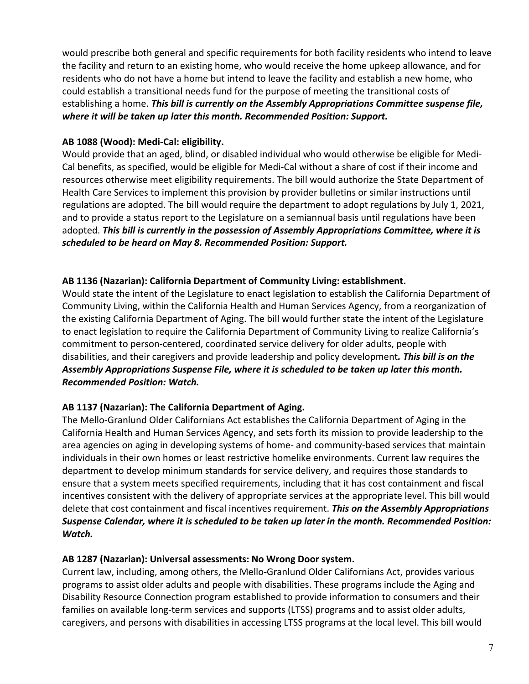would prescribe both general and specific requirements for both facility residents who intend to leave the facility and return to an existing home, who would receive the home upkeep allowance, and for residents who do not have a home but intend to leave the facility and establish a new home, who could establish a transitional needs fund for the purpose of meeting the transitional costs of establishing a home. *This bill is currently on the Assembly Appropriations Committee suspense file, where it will be taken up later this month. Recommended Position: Support.*

### **AB 1088 (Wood): Medi‐Cal: eligibility.**

Would provide that an aged, blind, or disabled individual who would otherwise be eligible for Medi‐ Cal benefits, as specified, would be eligible for Medi‐Cal without a share of cost if their income and resources otherwise meet eligibility requirements. The bill would authorize the State Department of Health Care Services to implement this provision by provider bulletins or similar instructions until regulations are adopted. The bill would require the department to adopt regulations by July 1, 2021, and to provide a status report to the Legislature on a semiannual basis until regulations have been adopted. *This bill is currently in the possession of Assembly Appropriations Committee, where it is scheduled to be heard on May 8. Recommended Position: Support.* 

# **AB 1136 (Nazarian): California Department of Community Living: establishment.**

Would state the intent of the Legislature to enact legislation to establish the California Department of Community Living, within the California Health and Human Services Agency, from a reorganization of the existing California Department of Aging. The bill would further state the intent of the Legislature to enact legislation to require the California Department of Community Living to realize California's commitment to person‐centered, coordinated service delivery for older adults, people with disabilities, and their caregivers and provide leadership and policy development*. This bill is on the Assembly Appropriations Suspense File, where it is scheduled to be taken up later this month. Recommended Position: Watch.* 

# **AB 1137 (Nazarian): The California Department of Aging.**

The Mello‐Granlund Older Californians Act establishes the California Department of Aging in the California Health and Human Services Agency, and sets forth its mission to provide leadership to the area agencies on aging in developing systems of home- and community-based services that maintain individuals in their own homes or least restrictive homelike environments. Current law requires the department to develop minimum standards for service delivery, and requires those standards to ensure that a system meets specified requirements, including that it has cost containment and fiscal incentives consistent with the delivery of appropriate services at the appropriate level. This bill would delete that cost containment and fiscal incentives requirement. *This on the Assembly Appropriations Suspense Calendar, where it is scheduled to be taken up later in the month. Recommended Position: Watch.* 

### **AB 1287 (Nazarian): Universal assessments: No Wrong Door system.**

Current law, including, among others, the Mello‐Granlund Older Californians Act, provides various programs to assist older adults and people with disabilities. These programs include the Aging and Disability Resource Connection program established to provide information to consumers and their families on available long-term services and supports (LTSS) programs and to assist older adults, caregivers, and persons with disabilities in accessing LTSS programs at the local level. This bill would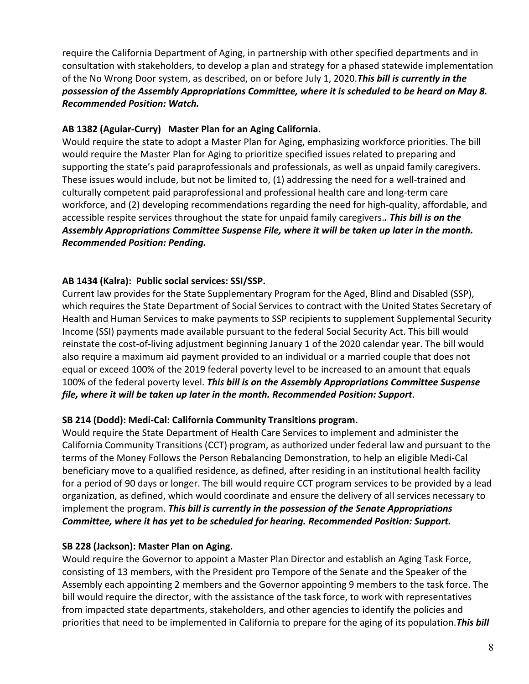require the California Department of Aging, in partnership with other specified departments and in consultation with stakeholders, to develop a plan and strategy for a phased statewide implementation of the No Wrong Door system, as described, on or before July 1, 2020.*This bill is currently in the possession of the Assembly Appropriations Committee, where it is scheduled to be heard on May 8. Recommended Position: Watch.*

# **AB 1382 (Aguiar‐Curry) Master Plan for an Aging California.**

Would require the state to adopt a Master Plan for Aging, emphasizing workforce priorities. The bill would require the Master Plan for Aging to prioritize specified issues related to preparing and supporting the state's paid paraprofessionals and professionals, as well as unpaid family caregivers. These issues would include, but not be limited to, (1) addressing the need for a well-trained and culturally competent paid paraprofessional and professional health care and long‐term care workforce, and (2) developing recommendations regarding the need for high-quality, affordable, and accessible respite services throughout the state for unpaid family caregivers.*. This bill is on the Assembly Appropriations Committee Suspense File, where it will be taken up later in the month. Recommended Position: Pending.* 

# **AB 1434 (Kalra): Public social services: SSI/SSP.**

Current law provides for the State Supplementary Program for the Aged, Blind and Disabled (SSP), which requires the State Department of Social Services to contract with the United States Secretary of Health and Human Services to make payments to SSP recipients to supplement Supplemental Security Income (SSI) payments made available pursuant to the federal Social Security Act. This bill would reinstate the cost‐of‐living adjustment beginning January 1 of the 2020 calendar year. The bill would also require a maximum aid payment provided to an individual or a married couple that does not equal or exceed 100% of the 2019 federal poverty level to be increased to an amount that equals 100% of the federal poverty level. *This bill is on the Assembly Appropriations Committee Suspense file, where it will be taken up later in the month. Recommended Position: Support*.

### **SB 214 (Dodd): Medi‐Cal: California Community Transitions program.**

Would require the State Department of Health Care Services to implement and administer the California Community Transitions (CCT) program, as authorized under federal law and pursuant to the terms of the Money Follows the Person Rebalancing Demonstration, to help an eligible Medi‐Cal beneficiary move to a qualified residence, as defined, after residing in an institutional health facility for a period of 90 days or longer. The bill would require CCT program services to be provided by a lead organization, as defined, which would coordinate and ensure the delivery of all services necessary to implement the program. *This bill is currently in the possession of the Senate Appropriations Committee, where it has yet to be scheduled for hearing. Recommended Position: Support.*

### **SB 228 (Jackson): Master Plan on Aging.**

Would require the Governor to appoint a Master Plan Director and establish an Aging Task Force, consisting of 13 members, with the President pro Tempore of the Senate and the Speaker of the Assembly each appointing 2 members and the Governor appointing 9 members to the task force. The bill would require the director, with the assistance of the task force, to work with representatives from impacted state departments, stakeholders, and other agencies to identify the policies and priorities that need to be implemented in California to prepare for the aging of its population.*This bill*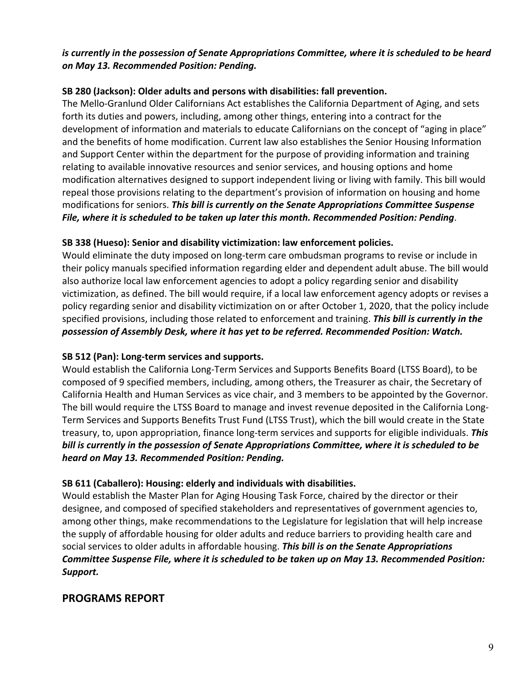# *is currently in the possession of Senate Appropriations Committee, where it is scheduled to be heard on May 13. Recommended Position: Pending.*

### **SB 280 (Jackson): Older adults and persons with disabilities: fall prevention.**

The Mello‐Granlund Older Californians Act establishes the California Department of Aging, and sets forth its duties and powers, including, among other things, entering into a contract for the development of information and materials to educate Californians on the concept of "aging in place" and the benefits of home modification. Current law also establishes the Senior Housing Information and Support Center within the department for the purpose of providing information and training relating to available innovative resources and senior services, and housing options and home modification alternatives designed to support independent living or living with family. This bill would repeal those provisions relating to the department's provision of information on housing and home modifications for seniors. *This bill is currently on the Senate Appropriations Committee Suspense File, where it is scheduled to be taken up later this month. Recommended Position: Pending*.

# **SB 338 (Hueso): Senior and disability victimization: law enforcement policies.**

Would eliminate the duty imposed on long-term care ombudsman programs to revise or include in their policy manuals specified information regarding elder and dependent adult abuse. The bill would also authorize local law enforcement agencies to adopt a policy regarding senior and disability victimization, as defined. The bill would require, if a local law enforcement agency adopts or revises a policy regarding senior and disability victimization on or after October 1, 2020, that the policy include specified provisions, including those related to enforcement and training. *This bill is currently in the possession of Assembly Desk, where it has yet to be referred. Recommended Position: Watch.* 

### **SB 512 (Pan): Long‐term services and supports.**

Would establish the California Long‐Term Services and Supports Benefits Board (LTSS Board), to be composed of 9 specified members, including, among others, the Treasurer as chair, the Secretary of California Health and Human Services as vice chair, and 3 members to be appointed by the Governor. The bill would require the LTSS Board to manage and invest revenue deposited in the California Long‐ Term Services and Supports Benefits Trust Fund (LTSS Trust), which the bill would create in the State treasury, to, upon appropriation, finance long‐term services and supports for eligible individuals. *This bill is currently in the possession of Senate Appropriations Committee, where it is scheduled to be heard on May 13. Recommended Position: Pending.*

### **SB 611 (Caballero): Housing: elderly and individuals with disabilities.**

Would establish the Master Plan for Aging Housing Task Force, chaired by the director or their designee, and composed of specified stakeholders and representatives of government agencies to, among other things, make recommendations to the Legislature for legislation that will help increase the supply of affordable housing for older adults and reduce barriers to providing health care and social services to older adults in affordable housing. *This bill is on the Senate Appropriations Committee Suspense File, where it is scheduled to be taken up on May 13. Recommended Position: Support.*

# **PROGRAMS REPORT**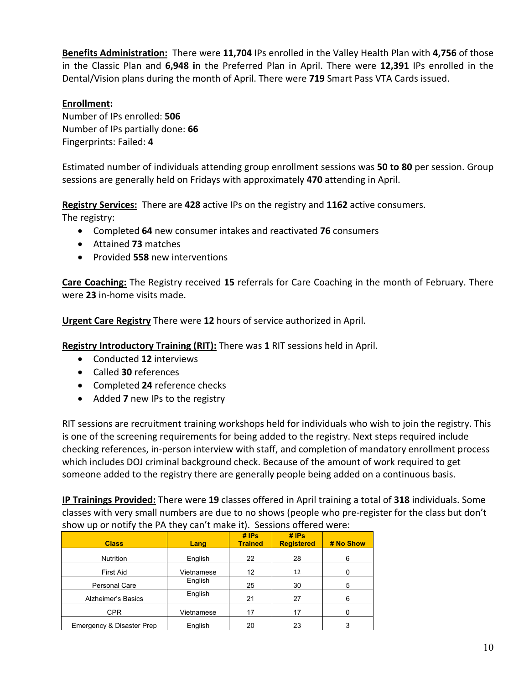**Benefits Administration:** There were **11,704** IPs enrolled in the Valley Health Plan with **4,756** of those in the Classic Plan and **6,948 i**n the Preferred Plan in April. There were **12,391** IPs enrolled in the Dental/Vision plans during the month of April. There were **719** Smart Pass VTA Cards issued.

#### **Enrollment:**

Number of IPs enrolled: **506** Number of IPs partially done: **66** Fingerprints: Failed: **4**

Estimated number of individuals attending group enrollment sessions was **50 to 80** per session. Group sessions are generally held on Fridays with approximately **470** attending in April.

**Registry Services:** There are **428** active IPs on the registry and **1162** active consumers.

The registry:

- Completed **64** new consumer intakes and reactivated **76** consumers
- Attained **73** matches
- Provided **558** new interventions

**Care Coaching:** The Registry received **15** referrals for Care Coaching in the month of February. There were **23** in‐home visits made.

**Urgent Care Registry** There were **12** hours of service authorized in April.

**Registry Introductory Training (RIT):** There was **1** RIT sessions held in April.

- Conducted **12** interviews
- Called **30** references
- Completed **24** reference checks
- Added **7** new IPs to the registry

RIT sessions are recruitment training workshops held for individuals who wish to join the registry. This is one of the screening requirements for being added to the registry. Next steps required include checking references, in‐person interview with staff, and completion of mandatory enrollment process which includes DOJ criminal background check. Because of the amount of work required to get someone added to the registry there are generally people being added on a continuous basis.

**IP Trainings Provided:** There were **19** classes offered in April training a total of **318** individuals. Some classes with very small numbers are due to no shows (people who pre‐register for the class but don't show up or notify the PA they can't make it). Sessions offered were:

| <b>Class</b>              | Lang       | $#$ IPs<br><b>Trained</b> | $#$ IPs<br><b>Registered</b> | # No Show |
|---------------------------|------------|---------------------------|------------------------------|-----------|
| <b>Nutrition</b>          | English    | 22                        | 28                           | 6         |
| <b>First Aid</b>          | Vietnamese | 12                        | 12                           |           |
| Personal Care             | English    | 25                        | 30                           | 5         |
| Alzheimer's Basics        | English    | 21                        | 27                           | 6         |
| CPR.                      | Vietnamese | 17                        | 17                           |           |
| Emergency & Disaster Prep | English    | 20                        | 23                           | 3         |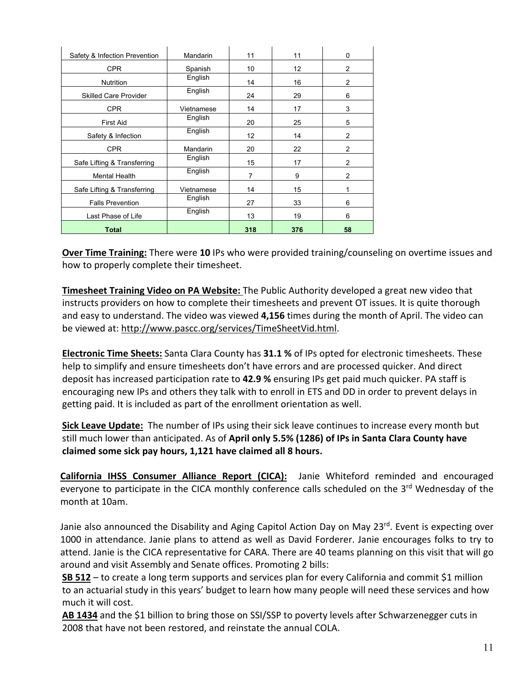| Safety & Infection Prevention | Mandarin   | 11  | 11  | 0              |
|-------------------------------|------------|-----|-----|----------------|
| CPR.                          | Spanish    | 10  | 12  | $\overline{2}$ |
| <b>Nutrition</b>              | English    | 14  | 16  | 2              |
| <b>Skilled Care Provider</b>  | English    | 24  | 29  | 6              |
| CPR.                          | Vietnamese | 14  | 17  | 3              |
| <b>First Aid</b>              | English    | 20  | 25  | 5              |
| Safety & Infection            | English    | 12  | 14  | $\overline{2}$ |
| <b>CPR</b>                    | Mandarin   | 20  | 22  | $\overline{2}$ |
| Safe Lifting & Transferring   | English    | 15  | 17  | 2              |
| <b>Mental Health</b>          | English    | 7   | 9   | $\overline{2}$ |
| Safe Lifting & Transferring   | Vietnamese | 14  | 15  | 1              |
| <b>Falls Prevention</b>       | English    | 27  | 33  | 6              |
| Last Phase of Life            | English    | 13  | 19  | 6              |
| <b>Total</b>                  |            | 318 | 376 | 58             |

**Over Time Training:** There were **10** IPs who were provided training/counseling on overtime issues and how to properly complete their timesheet.

**Timesheet Training Video on PA Website:** The Public Authority developed a great new video that instructs providers on how to complete their timesheets and prevent OT issues. It is quite thorough and easy to understand. The video was viewed **4,156** times during the month of April. The video can be viewed at: http://www.pascc.org/services/TimeSheetVid.html.

**Electronic Time Sheets:** Santa Clara County has **31.1 %** of IPs opted for electronic timesheets. These help to simplify and ensure timesheets don't have errors and are processed quicker. And direct deposit has increased participation rate to **42.9 %** ensuring IPs get paid much quicker. PA staff is encouraging new IPs and others they talk with to enroll in ETS and DD in order to prevent delays in getting paid. It is included as part of the enrollment orientation as well.

**Sick Leave Update:** The number of IPs using their sick leave continues to increase every month but still much lower than anticipated. As of **April only 5.5% (1286) of IPs in Santa Clara County have claimed some sick pay hours, 1,121 have claimed all 8 hours.**

**California IHSS Consumer Alliance Report (CICA):** Janie Whiteford reminded and encouraged everyone to participate in the CICA monthly conference calls scheduled on the 3<sup>rd</sup> Wednesday of the month at 10am.

Janie also announced the Disability and Aging Capitol Action Day on May 23<sup>rd</sup>. Event is expecting over 1000 in attendance. Janie plans to attend as well as David Forderer. Janie encourages folks to try to attend. Janie is the CICA representative for CARA. There are 40 teams planning on this visit that will go around and visit Assembly and Senate offices. Promoting 2 bills:

**SB 512** – to create a long term supports and services plan for every California and commit \$1 million to an actuarial study in this years' budget to learn how many people will need these services and how much it will cost.

**AB 1434** and the \$1 billion to bring those on SSI/SSP to poverty levels after Schwarzenegger cuts in 2008 that have not been restored, and reinstate the annual COLA.